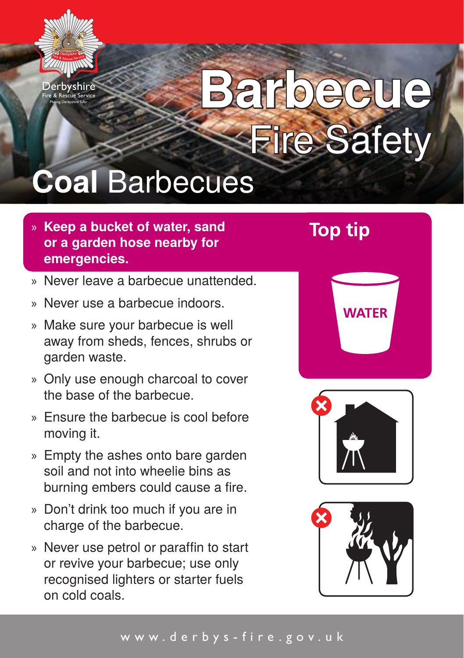

Making Derbyshire Safer

# **Barbecue** Fire Safety

### **Coal** Barbecues

- » **Keep a bucket of water, sand or a garden hose nearby for emergencies.**
- » Never leave a barbecue unattended.
- » Never use a barbecue indoors.
- » Make sure your barbecue is well away from sheds, fences, shrubs or garden waste.
- » Only use enough charcoal to cover the base of the barbecue.
- » Ensure the barbecue is cool before moving it.
- » Empty the ashes onto bare garden soil and not into wheelie bins as burning embers could cause a fire.
- » Don't drink too much if you are in charge of the barbecue.
- » Never use petrol or paraffin to start or revive your barbecue; use only recognised lighters or starter fuels on cold coals.

**Top tip**